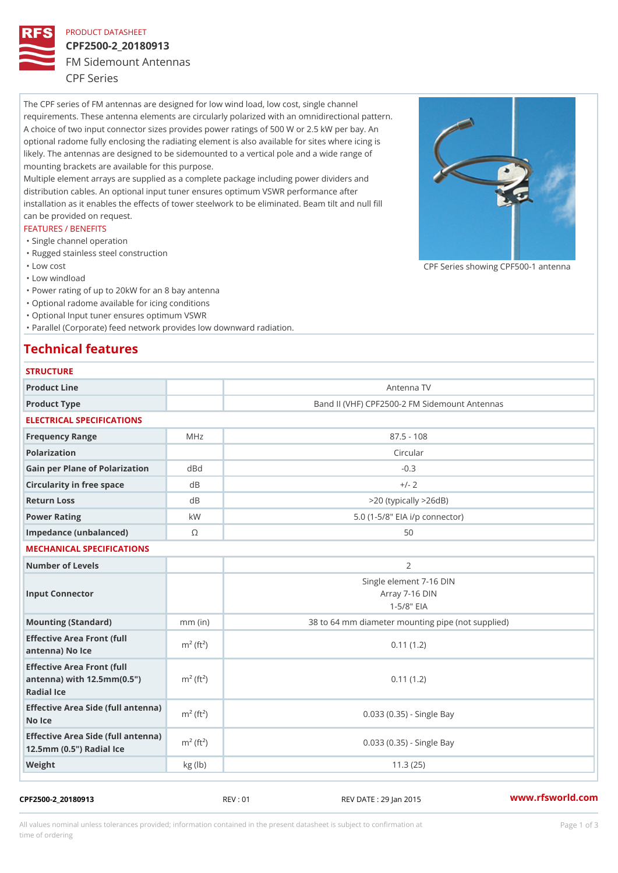## PRODUCT DATASHEET

# CPF2500-2\_20180913

FM Sidemount Antennas

CPF Series

The CPF series of FM antennas are designed for low wind load, low cost, single channel requirements. These antenna elements are circularly polarized with an omnidirectional pattern. A choice of two input connector sizes provides power ratings of 500 W or 2.5 kW per bay. An optional radome fully enclosing the radiating element is also available for sites where icing is likely. The antennas are designed to be sidemounted to a vertical pole and a wide range of mounting brackets are available for this purpose. Multiple element arrays are supplied as a complete package including power dividers and distribution cables. An optional input tuner ensures optimum VSWR performance after

installation as it enables the effects of tower steelwork to be eliminated. Beam tilt and null fill can be provided on request.

### FEATURES / BENEFITS

- "Single channel operation
- "Rugged stainless steel construction
- "Low cost

"Low windload

"Power rating of up to 20kW for an 8 bay antenna

- "Optional radome available for icing conditions
- "Optional Input tuner ensures optimum VSWR

"Parallel (Corporate) feed network provides low downward radiation.

## Technical features

| <b>STRUCTURE</b>                                                                                                   |                         |                                                              |
|--------------------------------------------------------------------------------------------------------------------|-------------------------|--------------------------------------------------------------|
| Product Line                                                                                                       |                         | Antenna TV                                                   |
| Product Type                                                                                                       |                         | Band II (VHF) CPF2500-2 FM Sidemount Antennas                |
| ELECTRICAL SPECIFICATIONS                                                                                          |                         |                                                              |
| Frequency Range                                                                                                    | MHz                     | $87.5 - 108$                                                 |
| Polarization                                                                                                       |                         | Circular                                                     |
| Gain per Plane of PolarizatdoBnd                                                                                   |                         | $-0.3$                                                       |
| Circularity in free space                                                                                          | d B                     | $+/- 2$                                                      |
| Return Loss                                                                                                        | d B                     | $>$ 20 (typically $>$ 26dB)                                  |
| Power Rating                                                                                                       | k W                     | 5.0 (1-5/8" EIA i/p connector)                               |
| Impedance (unbalanced)                                                                                             | $\circledcirc$          | 50                                                           |
| MECHANICAL SPECIFICATIONS                                                                                          |                         |                                                              |
| Number of Levels                                                                                                   |                         | 2                                                            |
| Input Connector                                                                                                    |                         | Single element 7-16 DIN<br>Array 7-16 DIN<br>$1 - 5/8$ $EIA$ |
| Mounting (Standard)                                                                                                | $mm$ (in)               | 38 to 64 mm diameter mounting pipe (not supplied)            |
| Effective Area Front (full<br>antenna) No Ice                                                                      | $m2$ (ft <sup>2</sup> ) | 0.11(1.2)                                                    |
| Effective Area Front (full<br>antenna) with $12.5$ mm $(0.5$ " $\pi$ <sup>2</sup> (ft <sup>2</sup> )<br>Radial Ice |                         | 0.11(1.2)                                                    |
| Effective Area Side (full antenna)<br>No Ice                                                                       |                         | $0.033$ $(0.35)$ - Single Bay                                |
| Effective Area Side (full antenna)<br>12.5mm (0.5") Radial Ice                                                     |                         | 0.033 (0.35) - Single Bay                                    |
| Weight                                                                                                             | kg(lb)                  | 11.3(25)                                                     |

## CPF2500-2\_20180913 REV : 01 REV DATE : 29 Jan 2015 [www.](https://www.rfsworld.com)rfsworld.com

All values nominal unless tolerances provided; information contained in the present datasheet is subject to Pcapgeign mation time of ordering

CPF Series showing CPF500-1 and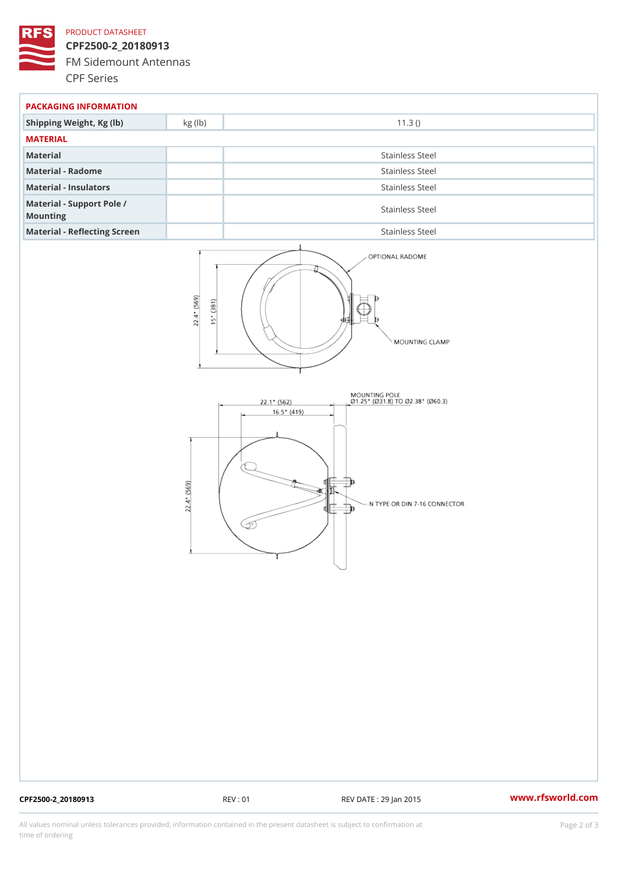## PRODUCT DATASHEET

CPF2500-2\_20180913 FM Sidemount Antennas CPF Series

| PACKAGING INFORMATION                 |                 |  |  |
|---------------------------------------|-----------------|--|--|
| Shipping Weight, Kg (lb) kg (lb)      | 11.3()          |  |  |
| MATERIAL                              |                 |  |  |
| Material                              | Stainless Steel |  |  |
| Material - Radome                     | Stainless Steel |  |  |
| Material - Insulators                 | Stainless Steel |  |  |
| Material - Support Pole /<br>Mounting | Stainless Steel |  |  |
| Material - Reflecting Screen          | Stainless Steel |  |  |

CPF2500-2\_20180913 REV : 01 REV DATE : 29 Jan 2015 [www.](https://www.rfsworld.com)rfsworld.com